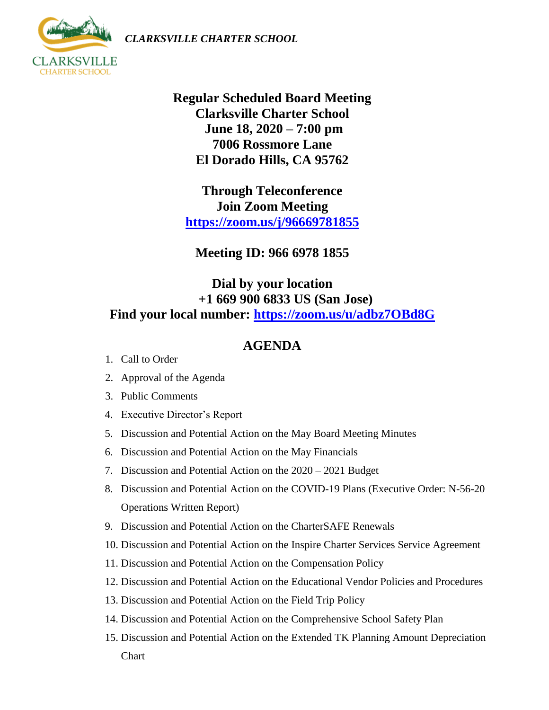*CLARKSVILLE CHARTER SCHOOL*



**Regular Scheduled Board Meeting Clarksville Charter School June 18, 2020 – 7:00 pm 7006 Rossmore Lane El Dorado Hills, CA 95762**

**Through Teleconference Join Zoom Meeting <https://zoom.us/j/96669781855>**

**Meeting ID: 966 6978 1855**

## **Dial by your location +1 669 900 6833 US (San Jose) Find your local number:<https://zoom.us/u/adbz7OBd8G>**

## **AGENDA**

- 1. Call to Order
- 2. Approval of the Agenda
- 3. Public Comments
- 4. Executive Director's Report
- 5. Discussion and Potential Action on the May Board Meeting Minutes
- 6. Discussion and Potential Action on the May Financials
- 7. Discussion and Potential Action on the 2020 2021 Budget
- 8. Discussion and Potential Action on the COVID-19 Plans (Executive Order: N-56-20 Operations Written Report)
- 9. Discussion and Potential Action on the CharterSAFE Renewals
- 10. Discussion and Potential Action on the Inspire Charter Services Service Agreement
- 11. Discussion and Potential Action on the Compensation Policy
- 12. Discussion and Potential Action on the Educational Vendor Policies and Procedures
- 13. Discussion and Potential Action on the Field Trip Policy
- 14. Discussion and Potential Action on the Comprehensive School Safety Plan
- 15. Discussion and Potential Action on the Extended TK Planning Amount Depreciation Chart